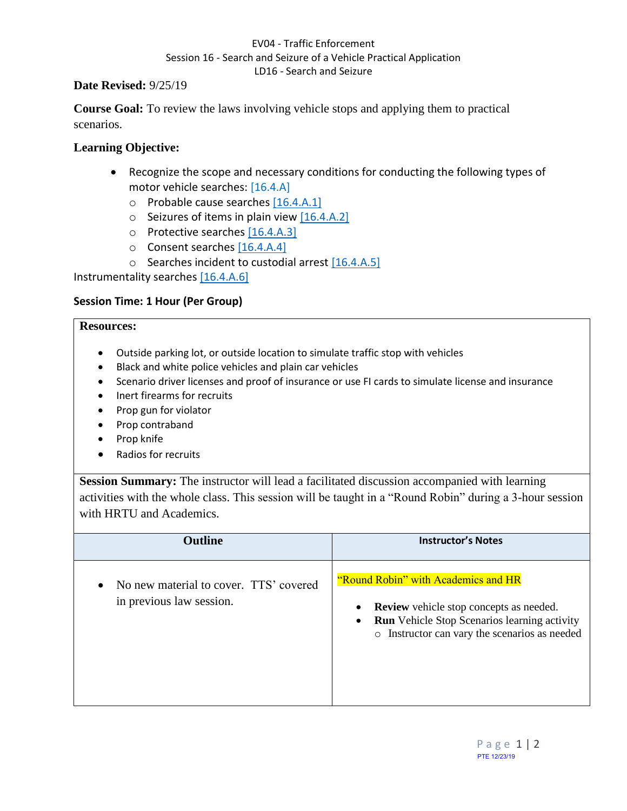### EV04 - Traffic Enforcement Session 16 - Search and Seizure of a Vehicle Practical Application LD16 - Search and Seizure

### **Date Revised:** 9/25/19

**Course Goal:** To review the laws involving vehicle stops and applying them to practical scenarios.

# **Learning Objective:**

- Recognize the scope and necessary conditions for conducting the following types of motor vehicle searches: [16.4.A]
	- o Probable cause searches [16.4.A.1]
	- $\circ$  Seizures of items in plain view [16.4.A.2]
	- o Protective searches [16.4.A.3]
	- o Consent searches [16.4.A.4]
	- o Searches incident to custodial arrest [16.4.A.5]

Instrumentality searches [16.4.A.6]

# **Session Time: 1 Hour (Per Group)**

### **Resources:**

- Outside parking lot, or outside location to simulate traffic stop with vehicles
- Black and white police vehicles and plain car vehicles
- Scenario driver licenses and proof of insurance or use FI cards to simulate license and insurance
- Inert firearms for recruits
- Prop gun for violator
- Prop contraband
- Prop knife
- Radios for recruits

**Session Summary:** The instructor will lead a facilitated discussion accompanied with learning activities with the whole class. This session will be taught in a "Round Robin" during a 3-hour session with HRTU and Academics.

| <b>Outline</b>                                                                  | <b>Instructor's Notes</b>                                                                                                                                                                     |
|---------------------------------------------------------------------------------|-----------------------------------------------------------------------------------------------------------------------------------------------------------------------------------------------|
| No new material to cover. TTS' covered<br>$\bullet$<br>in previous law session. | "Round Robin" with Academics and HR<br><b>Review</b> vehicle stop concepts as needed.<br><b>Run</b> Vehicle Stop Scenarios learning activity<br>o Instructor can vary the scenarios as needed |